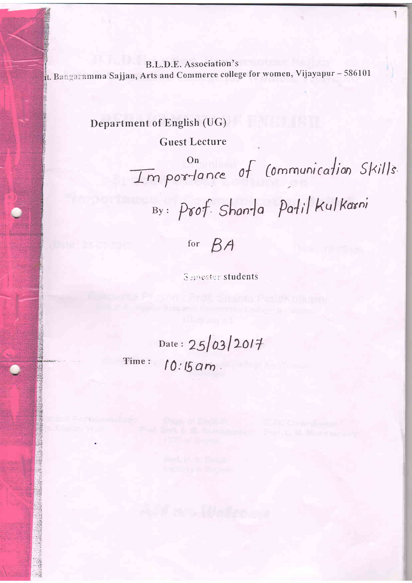B.L.D.E. Association's rt. Bangaramma Sajjan, Arts and Commerce college for women, Vijayapur - 586101

Department of English (UG)

**Guest Lecture** 

Importance of Communication Skills.

By: Prof. Shanta Patil Kulkarni

for  $BA$ 

**Semester students** 

Date: 25/03/2017 Time:  $10:15$  am.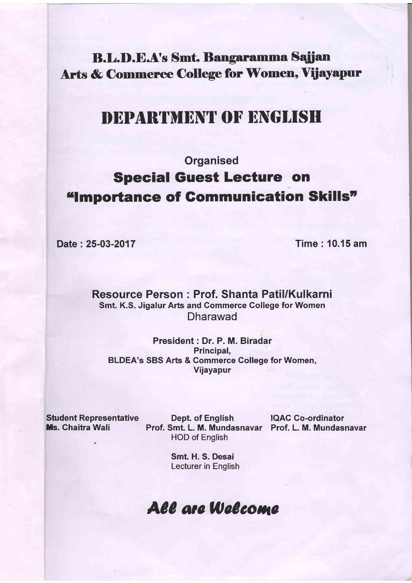**B.L.D.E.A's Smt. Bangaramma Sajjan** Arts & Commerce College for Women, Vijayapur

# DEPARTMENT OF ENGLISH

## **Organised** Special Guest Lecture on "Importance of Communication Skills"

Date : 25-03-2017 Time : 10.15 am

Resource Person : Prof. Shanta Patil/Kulkarni Smt. K.S. Jigalur Arts and Commerce College for Women Dharawad

President : Dr. P. M. Biradar Principal, BLDEA's SBS Arts & Commerce Gollege for Women, Vijayapur

Student Representative Dept. of English IQAC Co-ordinator<br>
Ms. Chaitra Wali Prof. Smt. L. M. Mundasnavar Prof. L. M. Mundas Prof. Smt. L. M. Mundasnavar Prof. L. M. Mundasnavar HOD of English

Smt. H. S. Desai Lecturer in English

## All are Welcome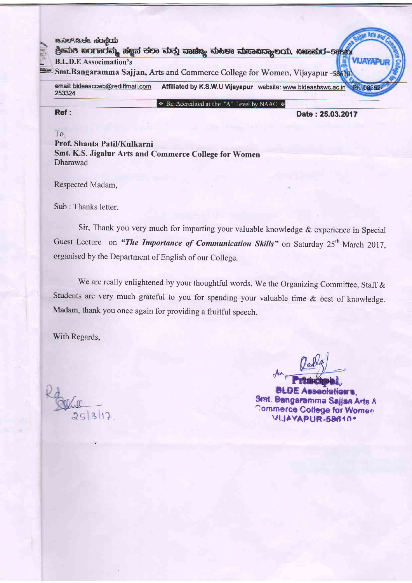| <b>MARPER &amp; ROZOD</b><br>ಶ್ರೀಮತಿ ಖಂಗಾರನ್ನು ಸಜ್ಞನ ಕಲಾ ಮತ್ತು ನಾಚಿಜ್ಯ ಮಹಿಳಾ ಮಹಾಸಿದ್ಯಾಲಯ, ಏಜಾಮರ-ಕಾಂಭ                   |                  |  |
|------------------------------------------------------------------------------------------------------------------------|------------------|--|
| <b>B.L.D.E</b> Associmation's                                                                                          |                  |  |
| Smt.Bangaramma Sajjan, Arts and Commerce College for Women, Vijayapur -586101                                          |                  |  |
| ernail: bldeaaccwb@rediffmail.com<br>Affiliated by K.S.W.U Vijayapur website: www.bldeasbswc.ac.in Ph?D8352-<br>253324 |                  |  |
| ◆ Re-Accredited at the "A" Level by NAAC ◆                                                                             |                  |  |
| Ref:                                                                                                                   | Date: 25.03.2017 |  |

To. Prof. Shanta Patil/Kulkarni

Smt. K.S. Jigalur Arts and Commerce College for Women Dharawad

Respected Madam,

Sub : Thanks letter.

Sir, Thank you very much for imparting your valuable knowledge & experience in Special Guest Lecture on "The Importance of Communication Skills" on Saturday 25<sup>th</sup> March 2017, organised by the Department of English of our College.

We are really enlightened by your thoughtful words. We the Organizing Committee, Staff & Students are very much grateful to you for spending your valuable time  $\&$  best of knowledge Madam, thank you once again for providing a fruitful speech.

With Regards,

 $25|3|12$ 

#^

**BLDE Association's,**<br>Smt. Bengaramma Sajjaa Arts 8 Commerce College for Women.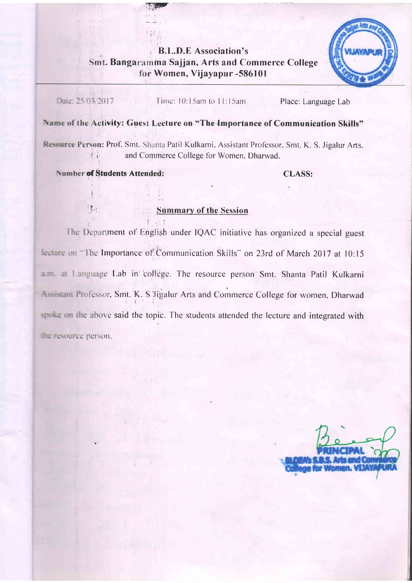#### **B.L.D.E** Association's Smt. Bangaramma Sajjan, Arts and Commerce College for Women, Vijayapur -586101



Date: 25/03/2017

Time: 10:15am to 11:15am

Place: Language Lab

### Name of the Activity: Guest Lecture on "The Importance of Communication Skills"

Resource Person: Prof. Smt. Shanta Patil Kulkarni, Assistant Professor, Smt. K. S. Jigalur Arts, and Commerce College for Women, Dharwad.

**Number of Students Attended:** 

試出

**CLASS:** 

#### **Summary of the Session**

The Department of English under IQAC initiative has organized a special guest lecture on "The Importance of Communication Skills" on 23rd of March 2017 at 10:15 a.m. at Language Lab in college. The resource person Smt. Shanta Patil Kulkarni Assistant Professor, Smt. K. S Jigalur Arts and Commerce College for women, Dharwad spoke on the above said the topic. The students attended the lecture and integrated with the resource person.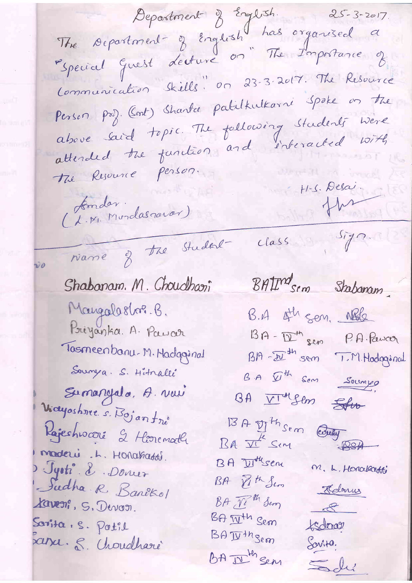Department d'English 25-3-2017.<br>The separtment d'English has organised a "Special Guest decture on" The Importance of Communication Skills" on 23-3-2017. The Resource Person prof. (Cont) Sharta palilkulkarni Spoke on the above said topic. The following students were attended the function and interacted with tre Resource Person. (L.M. Mondasnovor)  $H-S.$  Desai. the class Sign name of the Student νō BAIM sem Stabanam Shabanam. M. Choudhari Mangalasborg. B. B.A Ath sen. NBl2 Priyanka. A. Pawar 13A - Det sem P.A. Pawcer Tosmeenbanu-M. Hadaginal Sourya. S. Hitralli BA  $\mathcal{D}^{\#}$  Son Soumps Sumanyala, A. vou BA VI Sem Stro Wayashme. s. Bojan frè 13A DI<sup>M</sup>Sem County Rajeshwoore 2 Horenath maderi .L. Honakassi. BA DIALSEM M. L. Honakatti Jyoti & Doncer BA Pith Sem Sudha R. Banêkol Kelonus BA Till Sem Kaveni, S. Devon.  $\begin{array}{c} 8 \end{array}$ BA II<sup>th</sup> Sem Sorita, S. Potil tsdorass BAITHISEM sassa. S. Croudharé Sovita. BA I Ben Soli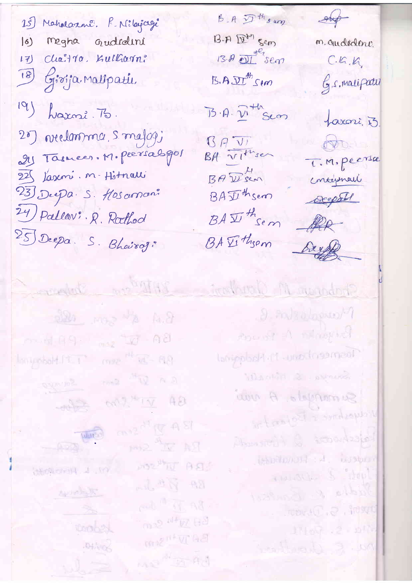$15$ Mahalazare. P. Milajage megha gudrdini  $\overline{6}$ Chaitro. Kultharn? 1刊  $\left( 8\right)$ Givija Malipatu.  $19$ harni. 75. 20) veelonsma, s. majog; 24 Tasmeer. M. Peersabger 23 Jaseni. n. Hitnalli 23 Deepa S. Hosconom 24) Pallan: R. Rathod 25 Deepa. S. Bhairoj:

 $\beta$ . A  $\mathcal{D}^{\text{th}}$ s ang  $B - P \times P^{\mathcal{W}}$  sem  $13.7 \text{ W}$  sem  $5.4 \text{W}$  Cem  $B \cdot A \cdot \overline{\mathcal{V}}$  th sem

 $BAV$  $BADE$ BA Jithsem  $BA\,\overline{\mathfrak{L}'}\,^{\#}$ Sem BA Vithsom

 $\rightarrow$ m. ou dedens  $C.G.K$ G.s. malifatu faxoni, 13 ob T.M. peersa concephali Deepath fle

Derff

Inberne B.A A Son, dec BA D'Est sen 199.10 BB - 20 mag mag 11.11 Madaginal an W<sup>M</sup> Emit Salvage  $-642$   $(107)^{16}$  12 **CONSTANT ASI** Comp CCA RA W<sup>R</sup> Sim MOZAL AS **W. L. Hereibas** ml + N + 98 winkly paid of AB m<sub>2</sub> 4+vz 83 toobey m2<sup>n+</sup>VI 98  $-104.568$  $AB^HBA$ 

Shapeyer M. Grondenic 1811 W. Com 2. Polsalopto Process - A stronged Tremeenbanu - Mindergenal Summa 2 plant Summy of A was Religiousne & Boycentre Absenced & Nonedated desertion of the hospital source & stop Sudly R. Banker u. Jeav. C. P. freeze  $17100 - 2.910$ new R. Chouthour